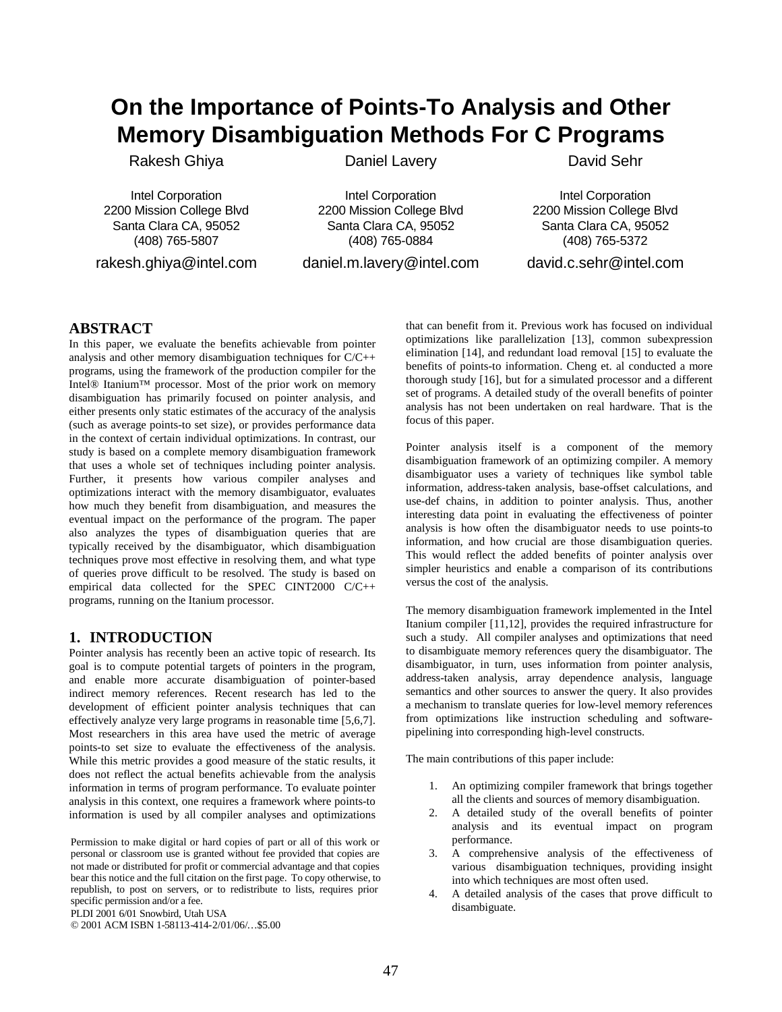# **On the Importance of Points-To Analysis and Other Memory Disambiguation Methods For C Programs**

Rakesh Ghiya

Daniel Lavery

David Sehr

Intel Corporation 2200 Mission College Blvd

Intel Corporation 2200 Mission College Blvd Santa Clara CA, 95052 (408) 765-5807

rakesh.ghiya@intel.com

Intel Corporation 2200 Mission College Blvd Santa Clara CA, 95052 (408) 765-0884

daniel.m.lavery@intel.com

Santa Clara CA, 95052 (408) 765-5372

david.c.sehr@intel.com

### **ABSTRACT**

In this paper, we evaluate the benefits achievable from pointer analysis and other memory disambiguation techniques for C/C++ programs, using the framework of the production compiler for the Intel® Itanium™ processor. Most of the prior work on memory disambiguation has primarily focused on pointer analysis, and either presents only static estimates of the accuracy of the analysis (such as average points-to set size), or provides performance data in the context of certain individual optimizations. In contrast, our study is based on a complete memory disambiguation framework that uses a whole set of techniques including pointer analysis. Further, it presents how various compiler analyses and optimizations interact with the memory disambiguator, evaluates how much they benefit from disambiguation, and measures the eventual impact on the performance of the program. The paper also analyzes the types of disambiguation queries that are typically received by the disambiguator, which disambiguation techniques prove most effective in resolving them, and what type of queries prove difficult to be resolved. The study is based on empirical data collected for the SPEC CINT2000 C/C++ programs, running on the Itanium processor.

### **1. INTRODUCTION**

Pointer analysis has recently been an active topic of research. Its goal is to compute potential targets of pointers in the program, and enable more accurate disambiguation of pointer-based indirect memory references. Recent research has led to the development of efficient pointer analysis techniques that can effectively analyze very large programs in reasonable time [5,6,7]. Most researchers in this area have used the metric of average points-to set size to evaluate the effectiveness of the analysis. While this metric provides a good measure of the static results, it does not reflect the actual benefits achievable from the analysis information in terms of program performance. To evaluate pointer analysis in this context, one requires a framework where points-to information is used by all compiler analyses and optimizations

requires prior specific permission and/or a fee. PLDI 2001 6/01 Snowbird, Utah USA

that can benefit from it. Previous work has focused on individual optimizations like parallelization [13], common subexpression elimination [14], and redundant load removal [15] to evaluate the benefits of points-to information. Cheng et. al conducted a more thorough study [16], but for a simulated processor and a different set of programs. A detailed study of the overall benefits of pointer analysis has not been undertaken on real hardware. That is the focus of this paper.

Pointer analysis itself is a component of the memory disambiguation framework of an optimizing compiler. A memory disambiguator uses a variety of techniques like symbol table information, address-taken analysis, base-offset calculations, and use-def chains, in addition to pointer analysis. Thus, another interesting data point in evaluating the effectiveness of pointer analysis is how often the disambiguator needs to use points-to information, and how crucial are those disambiguation queries. This would reflect the added benefits of pointer analysis over simpler heuristics and enable a comparison of its contributions versus the cost of the analysis.

The memory disambiguation framework implemented in the Intel Itanium compiler [11,12], provides the required infrastructure for such a study. All compiler analyses and optimizations that need to disambiguate memory references query the disambiguator. The disambiguator, in turn, uses information from pointer analysis, address-taken analysis, array dependence analysis, language semantics and other sources to answer the query. It also provides a mechanism to translate queries for low-level memory references from optimizations like instruction scheduling and softwarepipelining into corresponding high-level constructs.

The main contributions of this paper include:

- 1. An optimizing compiler framework that brings together all the clients and sources of memory disambiguation.
- 2. A detailed study of the overall benefits of pointer analysis and its eventual impact on program performance.
- 3. A comprehensive analysis of the effectiveness of various disambiguation techniques, providing insight into which techniques are most often used.
- 4. A detailed analysis of the cases that prove difficult to disambiguate.

Permission to make digital or hard copies of all or part of this work for personal or classroom use is granted without fee provided that copies are personal or classroom use is granted without fee provided that copies are not made or distributed for profit or commercial advantage and that copies not made or distributed for profit or commercial advantage and that bear this notice and the full citation on the first page. To copy otherwise, to bear this notice and the full citation on the first page. To copy offer wise, republish, to post on servers, or to redistribute to lists, requires prior specific permission and/or a fee Permission to make digital or hard copies of part or all of this work or specific permission and/or a fee.

**COMPUTE 12001** SNOWBIRD, CLUBERT 1, DELTREE 2001, ACM ISBN 1-58113-414-2/01/06/…\$5.00  $C = 2001112.01112.01121112.011321112.01100011192100...$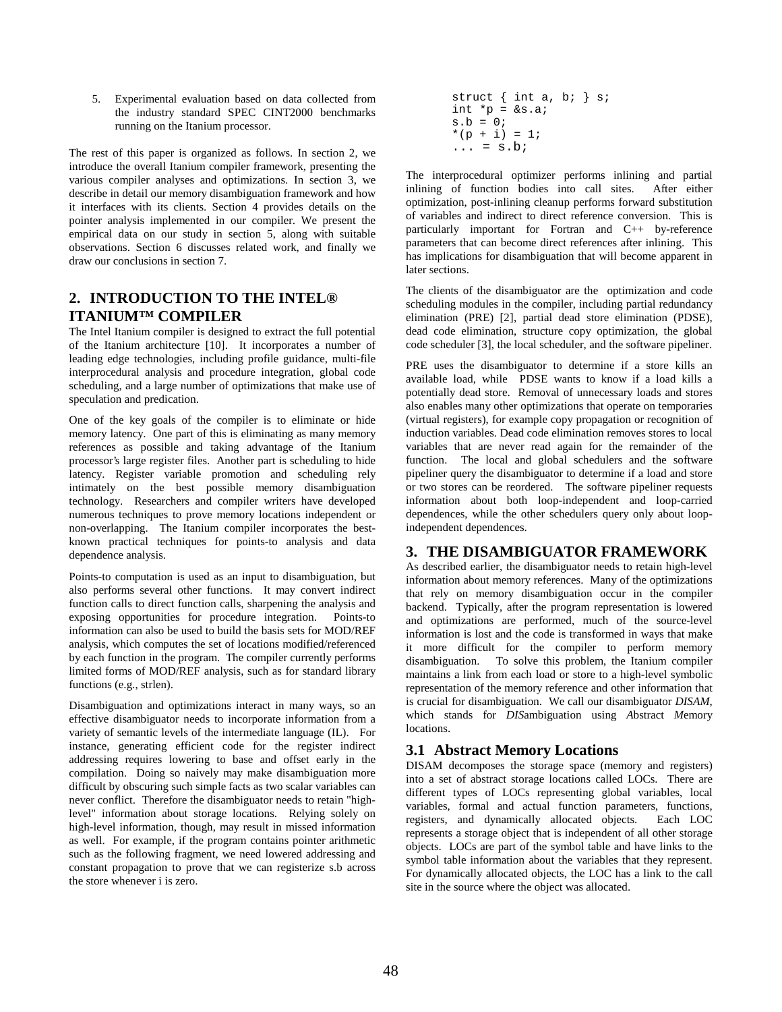5. Experimental evaluation based on data collected from the industry standard SPEC CINT2000 benchmarks running on the Itanium processor.

The rest of this paper is organized as follows. In section 2, we introduce the overall Itanium compiler framework, presenting the various compiler analyses and optimizations. In section 3, we describe in detail our memory disambiguation framework and how it interfaces with its clients. Section 4 provides details on the pointer analysis implemented in our compiler. We present the empirical data on our study in section 5, along with suitable observations. Section 6 discusses related work, and finally we draw our conclusions in section 7.

# **2. INTRODUCTION TO THE INTEL® ITANIUM™ COMPILER**

The Intel Itanium compiler is designed to extract the full potential of the Itanium architecture [10]. It incorporates a number of leading edge technologies, including profile guidance, multi-file interprocedural analysis and procedure integration, global code scheduling, and a large number of optimizations that make use of speculation and predication.

One of the key goals of the compiler is to eliminate or hide memory latency. One part of this is eliminating as many memory references as possible and taking advantage of the Itanium processor's large register files. Another part is scheduling to hide latency. Register variable promotion and scheduling rely intimately on the best possible memory disambiguation technology. Researchers and compiler writers have developed numerous techniques to prove memory locations independent or non-overlapping. The Itanium compiler incorporates the bestknown practical techniques for points-to analysis and data dependence analysis.

Points-to computation is used as an input to disambiguation, but also performs several other functions. It may convert indirect function calls to direct function calls, sharpening the analysis and exposing opportunities for procedure integration. Points-to information can also be used to build the basis sets for MOD/REF analysis, which computes the set of locations modified/referenced by each function in the program. The compiler currently performs limited forms of MOD/REF analysis, such as for standard library functions (e.g., strlen).

Disambiguation and optimizations interact in many ways, so an effective disambiguator needs to incorporate information from a variety of semantic levels of the intermediate language (IL). For instance, generating efficient code for the register indirect addressing requires lowering to base and offset early in the compilation. Doing so naively may make disambiguation more difficult by obscuring such simple facts as two scalar variables can never conflict. Therefore the disambiguator needs to retain "highlevel" information about storage locations. Relying solely on high-level information, though, may result in missed information as well. For example, if the program contains pointer arithmetic such as the following fragment, we need lowered addressing and constant propagation to prove that we can registerize s.b across the store whenever i is zero.

struct  $\{$  int a, b;  $\}$  s; int  $*_{p}$  =  $\&$ s.a;  $s.b = 0;$  $*(p + i) = 1;$  $\ldots$  = s.b;

The interprocedural optimizer performs inlining and partial inlining of function bodies into call sites. After either optimization, post-inlining cleanup performs forward substitution of variables and indirect to direct reference conversion. This is particularly important for Fortran and C++ by-reference parameters that can become direct references after inlining. This has implications for disambiguation that will become apparent in later sections.

The clients of the disambiguator are the optimization and code scheduling modules in the compiler, including partial redundancy elimination (PRE) [2], partial dead store elimination (PDSE), dead code elimination, structure copy optimization, the global code scheduler [3], the local scheduler, and the software pipeliner.

PRE uses the disambiguator to determine if a store kills an available load, while PDSE wants to know if a load kills a potentially dead store. Removal of unnecessary loads and stores also enables many other optimizations that operate on temporaries (virtual registers), for example copy propagation or recognition of induction variables. Dead code elimination removes stores to local variables that are never read again for the remainder of the function. The local and global schedulers and the software pipeliner query the disambiguator to determine if a load and store or two stores can be reordered. The software pipeliner requests information about both loop-independent and loop-carried dependences, while the other schedulers query only about loopindependent dependences.

# **3. THE DISAMBIGUATOR FRAMEWORK**

As described earlier, the disambiguator needs to retain high-level information about memory references. Many of the optimizations that rely on memory disambiguation occur in the compiler backend. Typically, after the program representation is lowered and optimizations are performed, much of the source-level information is lost and the code is transformed in ways that make it more difficult for the compiler to perform memory disambiguation. To solve this problem, the Itanium compiler maintains a link from each load or store to a high-level symbolic representation of the memory reference and other information that is crucial for disambiguation. We call our disambiguator *DISAM*, which stands for *DIS*ambiguation using *A*bstract *M*emory locations.

# **3.1 Abstract Memory Locations**

DISAM decomposes the storage space (memory and registers) into a set of abstract storage locations called LOCs. There are different types of LOCs representing global variables, local variables, formal and actual function parameters, functions, registers, and dynamically allocated objects. Each LOC represents a storage object that is independent of all other storage objects. LOCs are part of the symbol table and have links to the symbol table information about the variables that they represent. For dynamically allocated objects, the LOC has a link to the call site in the source where the object was allocated.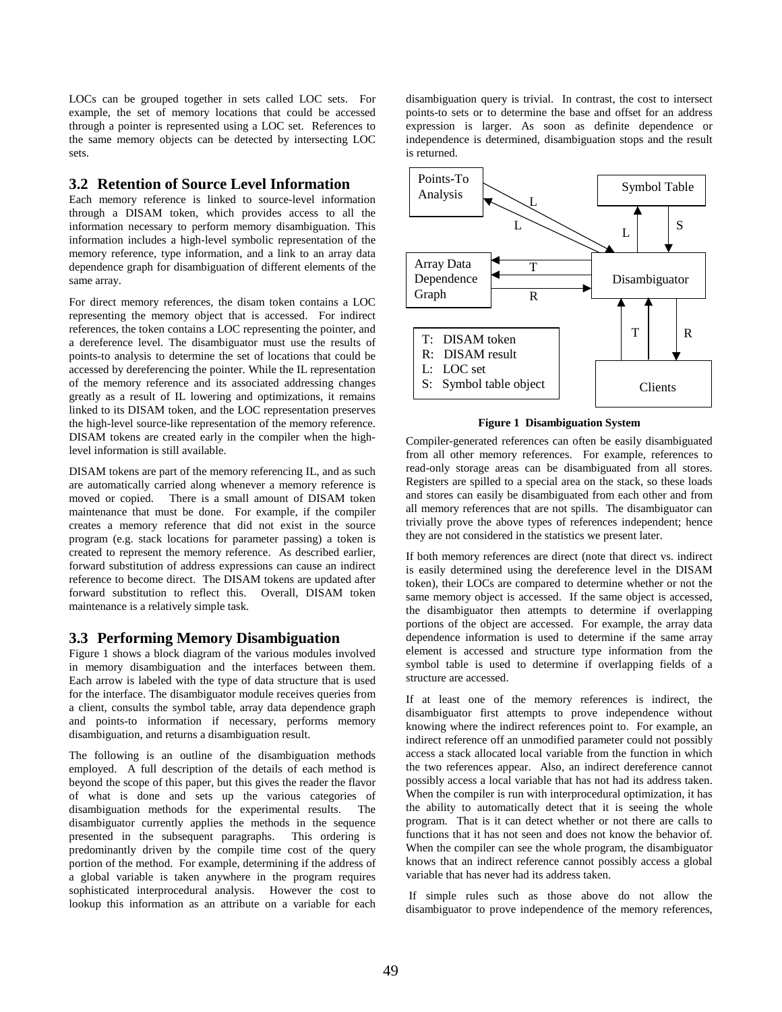LOCs can be grouped together in sets called LOC sets. For example, the set of memory locations that could be accessed through a pointer is represented using a LOC set. References to the same memory objects can be detected by intersecting LOC sets.

### **3.2 Retention of Source Level Information**

Each memory reference is linked to source-level information through a DISAM token, which provides access to all the information necessary to perform memory disambiguation. This information includes a high-level symbolic representation of the memory reference, type information, and a link to an array data dependence graph for disambiguation of different elements of the same array.

For direct memory references, the disam token contains a LOC representing the memory object that is accessed. For indirect references, the token contains a LOC representing the pointer, and a dereference level. The disambiguator must use the results of points-to analysis to determine the set of locations that could be accessed by dereferencing the pointer. While the IL representation of the memory reference and its associated addressing changes greatly as a result of IL lowering and optimizations, it remains linked to its DISAM token, and the LOC representation preserves the high-level source-like representation of the memory reference. DISAM tokens are created early in the compiler when the highlevel information is still available.

DISAM tokens are part of the memory referencing IL, and as such are automatically carried along whenever a memory reference is moved or copied. There is a small amount of DISAM token maintenance that must be done. For example, if the compiler creates a memory reference that did not exist in the source program (e.g. stack locations for parameter passing) a token is created to represent the memory reference. As described earlier, forward substitution of address expressions can cause an indirect reference to become direct. The DISAM tokens are updated after forward substitution to reflect this. Overall, DISAM token maintenance is a relatively simple task.

### **3.3 Performing Memory Disambiguation**

Figure 1 shows a block diagram of the various modules involved in memory disambiguation and the interfaces between them. Each arrow is labeled with the type of data structure that is used for the interface. The disambiguator module receives queries from a client, consults the symbol table, array data dependence graph and points-to information if necessary, performs memory disambiguation, and returns a disambiguation result.

The following is an outline of the disambiguation methods employed. A full description of the details of each method is beyond the scope of this paper, but this gives the reader the flavor of what is done and sets up the various categories of disambiguation methods for the experimental results. The disambiguator currently applies the methods in the sequence presented in the subsequent paragraphs. This ordering is predominantly driven by the compile time cost of the query portion of the method. For example, determining if the address of a global variable is taken anywhere in the program requires sophisticated interprocedural analysis. However the cost to lookup this information as an attribute on a variable for each

disambiguation query is trivial. In contrast, the cost to intersect points-to sets or to determine the base and offset for an address expression is larger. As soon as definite dependence or independence is determined, disambiguation stops and the result is returned.



**Figure 1 Disambiguation System**

Compiler-generated references can often be easily disambiguated from all other memory references. For example, references to read-only storage areas can be disambiguated from all stores. Registers are spilled to a special area on the stack, so these loads and stores can easily be disambiguated from each other and from all memory references that are not spills. The disambiguator can trivially prove the above types of references independent; hence they are not considered in the statistics we present later.

If both memory references are direct (note that direct vs. indirect is easily determined using the dereference level in the DISAM token), their LOCs are compared to determine whether or not the same memory object is accessed. If the same object is accessed, the disambiguator then attempts to determine if overlapping portions of the object are accessed. For example, the array data dependence information is used to determine if the same array element is accessed and structure type information from the symbol table is used to determine if overlapping fields of a structure are accessed.

If at least one of the memory references is indirect, the disambiguator first attempts to prove independence without knowing where the indirect references point to. For example, an indirect reference off an unmodified parameter could not possibly access a stack allocated local variable from the function in which the two references appear. Also, an indirect dereference cannot possibly access a local variable that has not had its address taken. When the compiler is run with interprocedural optimization, it has the ability to automatically detect that it is seeing the whole program. That is it can detect whether or not there are calls to functions that it has not seen and does not know the behavior of. When the compiler can see the whole program, the disambiguator knows that an indirect reference cannot possibly access a global variable that has never had its address taken.

 If simple rules such as those above do not allow the disambiguator to prove independence of the memory references,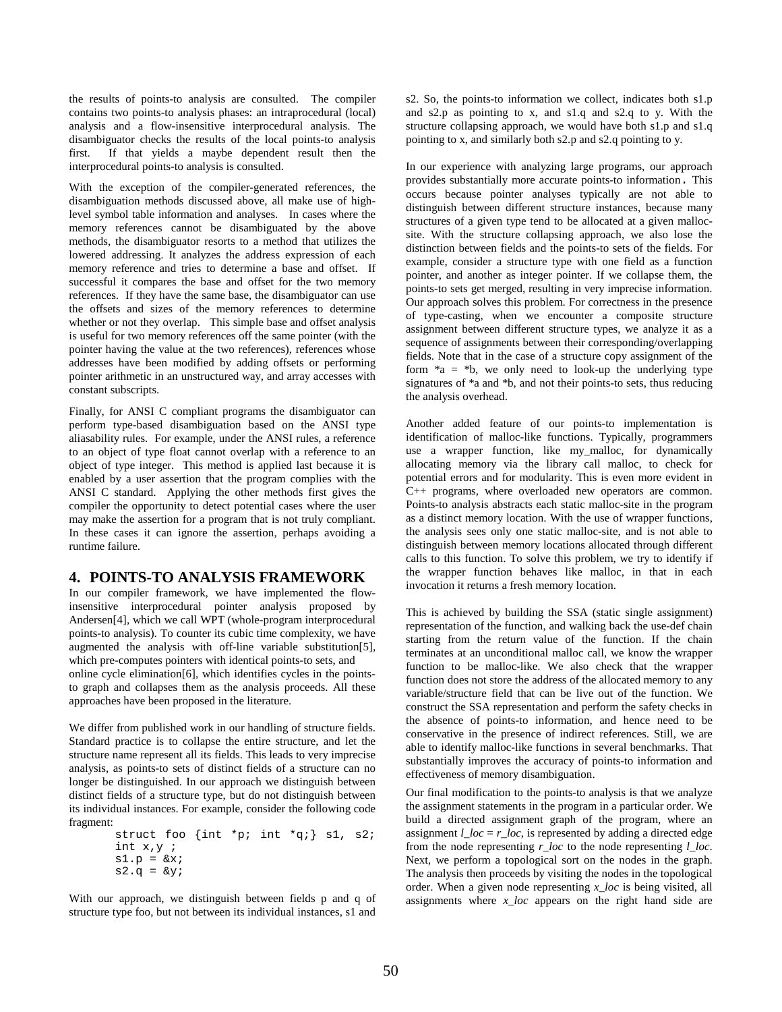the results of points-to analysis are consulted. The compiler contains two points-to analysis phases: an intraprocedural (local) analysis and a flow-insensitive interprocedural analysis. The disambiguator checks the results of the local points-to analysis first. If that yields a maybe dependent result then the interprocedural points-to analysis is consulted.

With the exception of the compiler-generated references, the disambiguation methods discussed above, all make use of highlevel symbol table information and analyses. In cases where the memory references cannot be disambiguated by the above methods, the disambiguator resorts to a method that utilizes the lowered addressing. It analyzes the address expression of each memory reference and tries to determine a base and offset. If successful it compares the base and offset for the two memory references. If they have the same base, the disambiguator can use the offsets and sizes of the memory references to determine whether or not they overlap. This simple base and offset analysis is useful for two memory references off the same pointer (with the pointer having the value at the two references), references whose addresses have been modified by adding offsets or performing pointer arithmetic in an unstructured way, and array accesses with constant subscripts.

Finally, for ANSI C compliant programs the disambiguator can perform type-based disambiguation based on the ANSI type aliasability rules. For example, under the ANSI rules, a reference to an object of type float cannot overlap with a reference to an object of type integer. This method is applied last because it is enabled by a user assertion that the program complies with the ANSI C standard. Applying the other methods first gives the compiler the opportunity to detect potential cases where the user may make the assertion for a program that is not truly compliant. In these cases it can ignore the assertion, perhaps avoiding a runtime failure.

### **4. POINTS-TO ANALYSIS FRAMEWORK**

In our compiler framework, we have implemented the flowinsensitive interprocedural pointer analysis proposed by Andersen[4], which we call WPT (whole-program interprocedural points-to analysis). To counter its cubic time complexity, we have augmented the analysis with off-line variable substitution[5], which pre-computes pointers with identical points-to sets, and online cycle elimination[6], which identifies cycles in the pointsto graph and collapses them as the analysis proceeds. All these approaches have been proposed in the literature.

We differ from published work in our handling of structure fields. Standard practice is to collapse the entire structure, and let the structure name represent all its fields. This leads to very imprecise analysis, as points-to sets of distinct fields of a structure can no longer be distinguished. In our approach we distinguish between distinct fields of a structure type, but do not distinguish between its individual instances. For example, consider the following code fragment:

struct foo {int \*p; int \*q;}  $sl$ ,  $sl$ ; int x,y ;  $s1.p = \&x$  $s2.q = \&yi$ 

With our approach, we distinguish between fields p and q of structure type foo, but not between its individual instances, s1 and

s2. So, the points-to information we collect, indicates both s1.p and s2.p as pointing to x, and s1.q and s2.q to y. With the structure collapsing approach, we would have both s1.p and s1.q pointing to x, and similarly both s2.p and s2.q pointing to y.

In our experience with analyzing large programs, our approach provides substantially more accurate points-to information. This occurs because pointer analyses typically are not able to distinguish between different structure instances, because many structures of a given type tend to be allocated at a given mallocsite. With the structure collapsing approach, we also lose the distinction between fields and the points-to sets of the fields. For example, consider a structure type with one field as a function pointer, and another as integer pointer. If we collapse them, the points-to sets get merged, resulting in very imprecise information. Our approach solves this problem. For correctness in the presence of type-casting, when we encounter a composite structure assignment between different structure types, we analyze it as a sequence of assignments between their corresponding/overlapping fields. Note that in the case of a structure copy assignment of the form  $a = *b$ , we only need to look-up the underlying type signatures of \*a and \*b, and not their points-to sets, thus reducing the analysis overhead.

Another added feature of our points-to implementation is identification of malloc-like functions. Typically, programmers use a wrapper function, like my\_malloc, for dynamically allocating memory via the library call malloc, to check for potential errors and for modularity. This is even more evident in C++ programs, where overloaded new operators are common. Points-to analysis abstracts each static malloc-site in the program as a distinct memory location. With the use of wrapper functions, the analysis sees only one static malloc-site, and is not able to distinguish between memory locations allocated through different calls to this function. To solve this problem, we try to identify if the wrapper function behaves like malloc, in that in each invocation it returns a fresh memory location.

This is achieved by building the SSA (static single assignment) representation of the function, and walking back the use-def chain starting from the return value of the function. If the chain terminates at an unconditional malloc call, we know the wrapper function to be malloc-like. We also check that the wrapper function does not store the address of the allocated memory to any variable/structure field that can be live out of the function. We construct the SSA representation and perform the safety checks in the absence of points-to information, and hence need to be conservative in the presence of indirect references. Still, we are able to identify malloc-like functions in several benchmarks. That substantially improves the accuracy of points-to information and effectiveness of memory disambiguation.

Our final modification to the points-to analysis is that we analyze the assignment statements in the program in a particular order. We build a directed assignment graph of the program, where an assignment  $l\_loc = r\_loc$ , is represented by adding a directed edge from the node representing *r\_loc* to the node representing *l\_loc*. Next, we perform a topological sort on the nodes in the graph. The analysis then proceeds by visiting the nodes in the topological order. When a given node representing *x\_loc* is being visited, all assignments where *x\_loc* appears on the right hand side are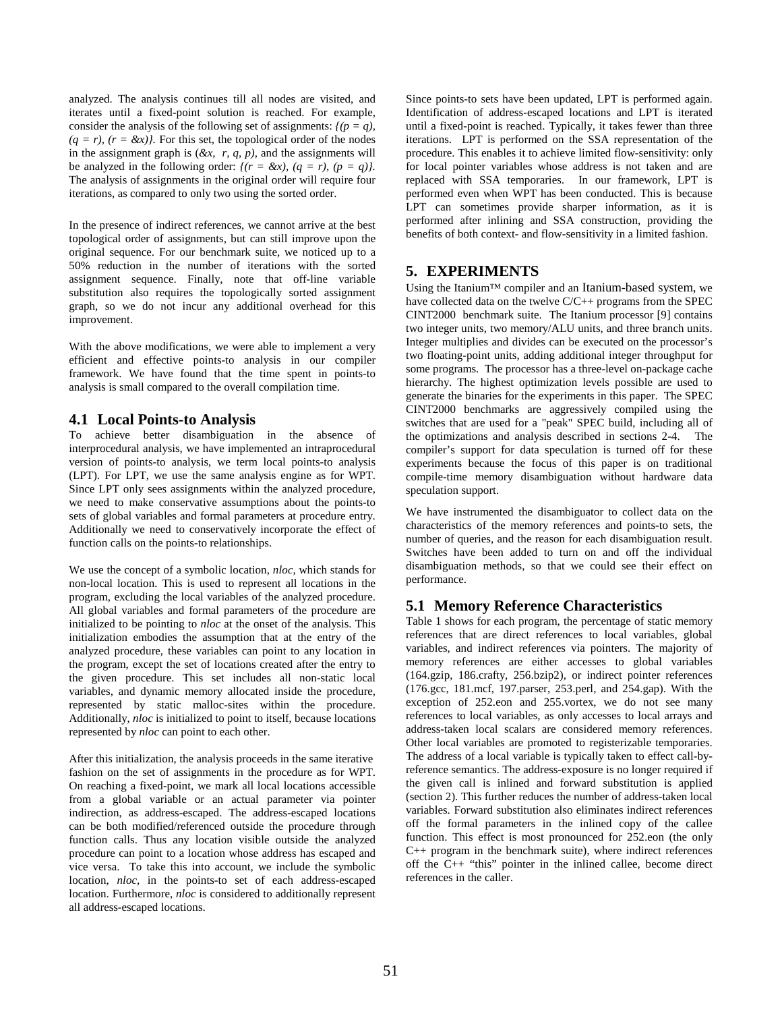analyzed. The analysis continues till all nodes are visited, and iterates until a fixed-point solution is reached. For example, consider the analysis of the following set of assignments:  $\hat{p} = q$ ,  $(q = r)$ ,  $(r = \&x)$ . For this set, the topological order of the nodes in the assignment graph is (*&x, r, q, p),* and the assignments will be analyzed in the following order:  $\{(r = \&x), (q = r), (p = q)\}.$ The analysis of assignments in the original order will require four iterations, as compared to only two using the sorted order.

In the presence of indirect references, we cannot arrive at the best topological order of assignments, but can still improve upon the original sequence. For our benchmark suite, we noticed up to a 50% reduction in the number of iterations with the sorted assignment sequence. Finally, note that off-line variable substitution also requires the topologically sorted assignment graph, so we do not incur any additional overhead for this improvement.

With the above modifications, we were able to implement a very efficient and effective points-to analysis in our compiler framework. We have found that the time spent in points-to analysis is small compared to the overall compilation time.

### **4.1 Local Points-to Analysis**

To achieve better disambiguation in the absence of interprocedural analysis, we have implemented an intraprocedural version of points-to analysis, we term local points-to analysis (LPT). For LPT, we use the same analysis engine as for WPT. Since LPT only sees assignments within the analyzed procedure, we need to make conservative assumptions about the points-to sets of global variables and formal parameters at procedure entry. Additionally we need to conservatively incorporate the effect of function calls on the points-to relationships.

We use the concept of a symbolic location, *nloc,* which stands for non-local location. This is used to represent all locations in the program, excluding the local variables of the analyzed procedure. All global variables and formal parameters of the procedure are initialized to be pointing to *nloc* at the onset of the analysis. This initialization embodies the assumption that at the entry of the analyzed procedure, these variables can point to any location in the program, except the set of locations created after the entry to the given procedure. This set includes all non-static local variables, and dynamic memory allocated inside the procedure, represented by static malloc-sites within the procedure. Additionally, *nloc* is initialized to point to itself, because locations represented by *nloc* can point to each other.

After this initialization, the analysis proceeds in the same iterative fashion on the set of assignments in the procedure as for WPT. On reaching a fixed-point, we mark all local locations accessible from a global variable or an actual parameter via pointer indirection, as address-escaped. The address-escaped locations can be both modified/referenced outside the procedure through function calls. Thus any location visible outside the analyzed procedure can point to a location whose address has escaped and vice versa. To take this into account, we include the symbolic location, *nloc*, in the points-to set of each address-escaped location. Furthermore, *nloc* is considered to additionally represent all address-escaped locations.

Since points-to sets have been updated, LPT is performed again. Identification of address-escaped locations and LPT is iterated until a fixed-point is reached. Typically, it takes fewer than three iterations. LPT is performed on the SSA representation of the procedure. This enables it to achieve limited flow-sensitivity: only for local pointer variables whose address is not taken and are replaced with SSA temporaries. In our framework, LPT is performed even when WPT has been conducted. This is because LPT can sometimes provide sharper information, as it is performed after inlining and SSA construction, providing the benefits of both context- and flow-sensitivity in a limited fashion.

# **5. EXPERIMENTS**

Using the Itanium™ compiler and an Itanium-based system, we have collected data on the twelve C/C++ programs from the SPEC CINT2000 benchmark suite. The Itanium processor [9] contains two integer units, two memory/ALU units, and three branch units. Integer multiplies and divides can be executed on the processor's two floating-point units, adding additional integer throughput for some programs. The processor has a three-level on-package cache hierarchy. The highest optimization levels possible are used to generate the binaries for the experiments in this paper. The SPEC CINT2000 benchmarks are aggressively compiled using the switches that are used for a "peak" SPEC build, including all of the optimizations and analysis described in sections 2-4. The compiler's support for data speculation is turned off for these experiments because the focus of this paper is on traditional compile-time memory disambiguation without hardware data speculation support.

We have instrumented the disambiguator to collect data on the characteristics of the memory references and points-to sets, the number of queries, and the reason for each disambiguation result. Switches have been added to turn on and off the individual disambiguation methods, so that we could see their effect on performance.

# **5.1 Memory Reference Characteristics**

Table 1 shows for each program, the percentage of static memory references that are direct references to local variables, global variables, and indirect references via pointers. The majority of memory references are either accesses to global variables (164.gzip, 186.crafty, 256.bzip2), or indirect pointer references (176.gcc, 181.mcf, 197.parser, 253.perl, and 254.gap). With the exception of 252.eon and 255.vortex, we do not see many references to local variables, as only accesses to local arrays and address-taken local scalars are considered memory references. Other local variables are promoted to registerizable temporaries. The address of a local variable is typically taken to effect call-byreference semantics. The address-exposure is no longer required if the given call is inlined and forward substitution is applied (section 2). This further reduces the number of address-taken local variables. Forward substitution also eliminates indirect references off the formal parameters in the inlined copy of the callee function. This effect is most pronounced for 252.eon (the only C++ program in the benchmark suite), where indirect references off the C++ "this" pointer in the inlined callee, become direct references in the caller.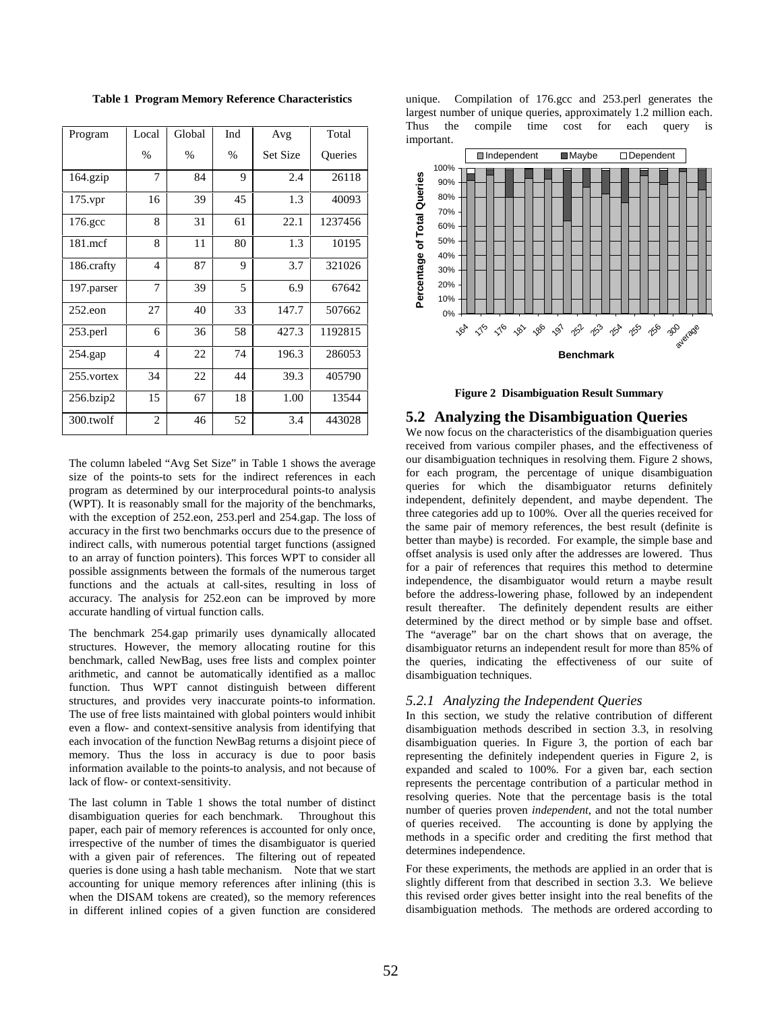**Table 1 Program Memory Reference Characteristics** 

| Program    | Local          | Global | Ind  | Avg             | Total   |
|------------|----------------|--------|------|-----------------|---------|
|            | $\%$           | $\%$   | $\%$ | <b>Set Size</b> | Queries |
| 164.gzip   | 7              | 84     | 9    | 2.4             | 26118   |
| $175$ .vpr | 16             | 39     | 45   | 1.3             | 40093   |
| $176$ .gcc | 8              | 31     | 61   | 22.1            | 1237456 |
| $181$ .mcf | 8              | 11     | 80   | 1.3             | 10195   |
| 186.crafty | $\overline{4}$ | 87     | 9    | 3.7             | 321026  |
| 197.parser | 7              | 39     | 5    | 6.9             | 67642   |
| $252$ .eon | 27             | 40     | 33   | 147.7           | 507662  |
| 253.perl   | 6              | 36     | 58   | 427.3           | 1192815 |
| $254$ .gap | $\overline{4}$ | 22     | 74   | 196.3           | 286053  |
| 255.vortex | 34             | 22     | 44   | 39.3            | 405790  |
| 256.bzip2  | 15             | 67     | 18   | 1.00            | 13544   |
| 300.twolf  | $\overline{2}$ | 46     | 52   | 3.4             | 443028  |

The column labeled "Avg Set Size" in Table 1 shows the average size of the points-to sets for the indirect references in each program as determined by our interprocedural points-to analysis (WPT). It is reasonably small for the majority of the benchmarks, with the exception of 252.eon, 253.perl and 254.gap. The loss of accuracy in the first two benchmarks occurs due to the presence of indirect calls, with numerous potential target functions (assigned to an array of function pointers). This forces WPT to consider all possible assignments between the formals of the numerous target functions and the actuals at call-sites, resulting in loss of accuracy. The analysis for 252.eon can be improved by more accurate handling of virtual function calls.

The benchmark 254.gap primarily uses dynamically allocated structures. However, the memory allocating routine for this benchmark, called NewBag, uses free lists and complex pointer arithmetic, and cannot be automatically identified as a malloc function. Thus WPT cannot distinguish between different structures, and provides very inaccurate points-to information. The use of free lists maintained with global pointers would inhibit even a flow- and context-sensitive analysis from identifying that each invocation of the function NewBag returns a disjoint piece of memory. Thus the loss in accuracy is due to poor basis information available to the points-to analysis, and not because of lack of flow- or context-sensitivity.

The last column in Table 1 shows the total number of distinct disambiguation queries for each benchmark. Throughout this paper, each pair of memory references is accounted for only once, irrespective of the number of times the disambiguator is queried with a given pair of references. The filtering out of repeated queries is done using a hash table mechanism. Note that we start accounting for unique memory references after inlining (this is when the DISAM tokens are created), so the memory references in different inlined copies of a given function are considered unique. Compilation of 176.gcc and 253.perl generates the largest number of unique queries, approximately 1.2 million each. Thus the compile time cost for each query is important.



**Figure 2 Disambiguation Result Summary** 

#### **5.2 Analyzing the Disambiguation Queries**

We now focus on the characteristics of the disambiguation queries received from various compiler phases, and the effectiveness of our disambiguation techniques in resolving them. Figure 2 shows, for each program, the percentage of unique disambiguation queries for which the disambiguator returns definitely independent, definitely dependent, and maybe dependent. The three categories add up to 100%. Over all the queries received for the same pair of memory references, the best result (definite is better than maybe) is recorded. For example, the simple base and offset analysis is used only after the addresses are lowered. Thus for a pair of references that requires this method to determine independence, the disambiguator would return a maybe result before the address-lowering phase, followed by an independent result thereafter. The definitely dependent results are either determined by the direct method or by simple base and offset. The "average" bar on the chart shows that on average, the disambiguator returns an independent result for more than 85% of the queries, indicating the effectiveness of our suite of disambiguation techniques.

#### *5.2.1 Analyzing the Independent Queries*

In this section, we study the relative contribution of different disambiguation methods described in section 3.3, in resolving disambiguation queries. In Figure 3, the portion of each bar representing the definitely independent queries in Figure 2, is expanded and scaled to 100%. For a given bar, each section represents the percentage contribution of a particular method in resolving queries. Note that the percentage basis is the total number of queries proven *independent*, and not the total number of queries received. The accounting is done by applying the methods in a specific order and crediting the first method that determines independence.

For these experiments, the methods are applied in an order that is slightly different from that described in section 3.3. We believe this revised order gives better insight into the real benefits of the disambiguation methods. The methods are ordered according to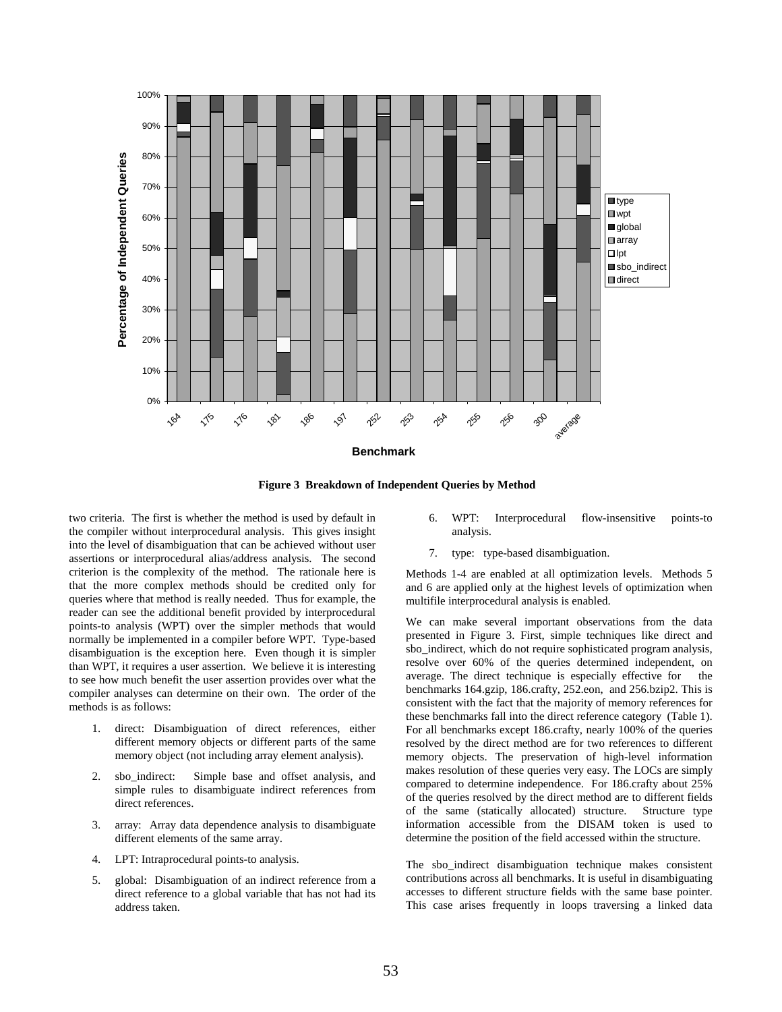

**Figure 3 Breakdown of Independent Queries by Method** 

two criteria. The first is whether the method is used by default in the compiler without interprocedural analysis. This gives insight into the level of disambiguation that can be achieved without user assertions or interprocedural alias/address analysis. The second criterion is the complexity of the method. The rationale here is that the more complex methods should be credited only for queries where that method is really needed. Thus for example, the reader can see the additional benefit provided by interprocedural points-to analysis (WPT) over the simpler methods that would normally be implemented in a compiler before WPT. Type-based disambiguation is the exception here. Even though it is simpler than WPT, it requires a user assertion. We believe it is interesting to see how much benefit the user assertion provides over what the compiler analyses can determine on their own. The order of the methods is as follows:

- direct: Disambiguation of direct references, either different memory objects or different parts of the same memory object (not including array element analysis).
- 2. sbo\_indirect: Simple base and offset analysis, and simple rules to disambiguate indirect references from direct references.
- 3. array: Array data dependence analysis to disambiguate different elements of the same array.
- 4. LPT: Intraprocedural points-to analysis.
- 5. global: Disambiguation of an indirect reference from a direct reference to a global variable that has not had its address taken.
- 6. WPT: Interprocedural flow-insensitive points-to analysis.
- 7. type: type-based disambiguation.

Methods 1-4 are enabled at all optimization levels. Methods 5 and 6 are applied only at the highest levels of optimization when multifile interprocedural analysis is enabled.

We can make several important observations from the data presented in Figure 3. First, simple techniques like direct and sbo\_indirect, which do not require sophisticated program analysis, resolve over 60% of the queries determined independent, on average. The direct technique is especially effective for the benchmarks 164.gzip, 186.crafty, 252.eon, and 256.bzip2. This is consistent with the fact that the majority of memory references for these benchmarks fall into the direct reference category (Table 1). For all benchmarks except 186.crafty, nearly 100% of the queries resolved by the direct method are for two references to different memory objects. The preservation of high-level information makes resolution of these queries very easy. The LOCs are simply compared to determine independence. For 186.crafty about 25% of the queries resolved by the direct method are to different fields of the same (statically allocated) structure. Structure type information accessible from the DISAM token is used to determine the position of the field accessed within the structure.

The sbo\_indirect disambiguation technique makes consistent contributions across all benchmarks. It is useful in disambiguating accesses to different structure fields with the same base pointer. This case arises frequently in loops traversing a linked data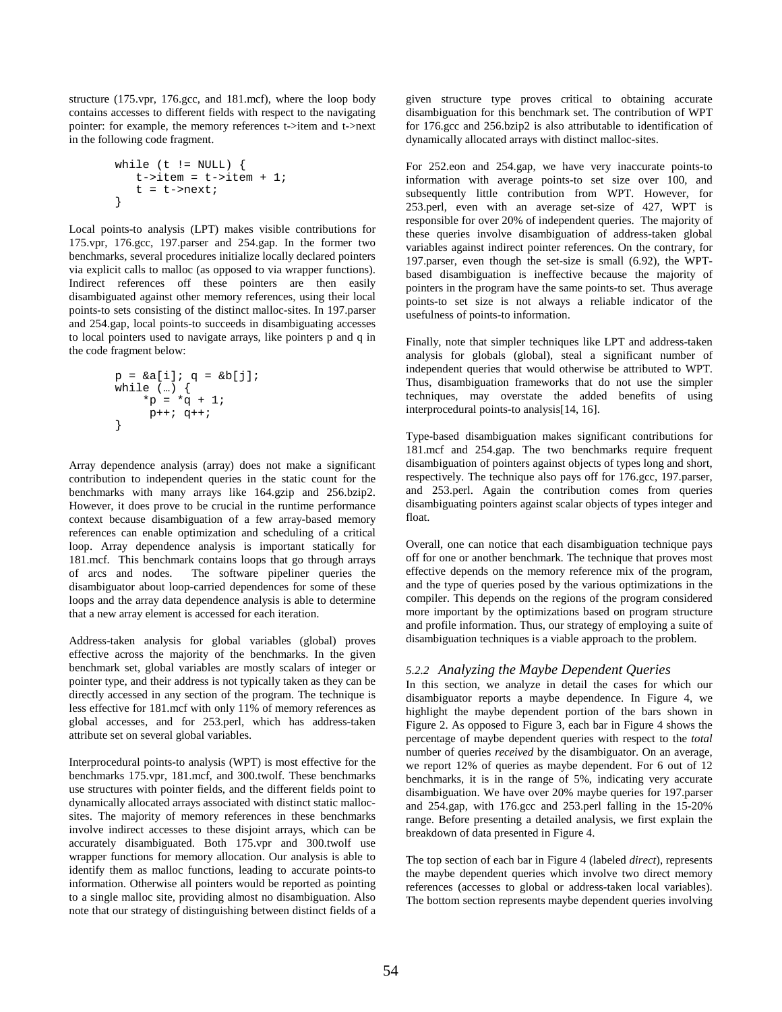structure (175.vpr, 176.gcc, and 181.mcf), where the loop body contains accesses to different fields with respect to the navigating pointer: for example, the memory references t->item and t->next in the following code fragment.

```
while (t := NULL) {
   t->item = t->item + 1;
   t = t->next;
}
```
Local points-to analysis (LPT) makes visible contributions for 175.vpr, 176.gcc, 197.parser and 254.gap. In the former two benchmarks, several procedures initialize locally declared pointers via explicit calls to malloc (as opposed to via wrapper functions). Indirect references off these pointers are then easily disambiguated against other memory references, using their local points-to sets consisting of the distinct malloc-sites. In 197.parser and 254.gap, local points-to succeeds in disambiguating accesses to local pointers used to navigate arrays, like pointers p and q in the code fragment below:

$$
p = \&a[i]; q = \&b[j];
$$
\n
$$
while (\dots) {\n *p = *q + 1;\n p++; q++;
$$
\n}\n

Array dependence analysis (array) does not make a significant contribution to independent queries in the static count for the benchmarks with many arrays like 164.gzip and 256.bzip2. However, it does prove to be crucial in the runtime performance context because disambiguation of a few array-based memory references can enable optimization and scheduling of a critical loop. Array dependence analysis is important statically for 181.mcf. This benchmark contains loops that go through arrays of arcs and nodes. The software pipeliner queries the disambiguator about loop-carried dependences for some of these loops and the array data dependence analysis is able to determine that a new array element is accessed for each iteration.

Address-taken analysis for global variables (global) proves effective across the majority of the benchmarks. In the given benchmark set, global variables are mostly scalars of integer or pointer type, and their address is not typically taken as they can be directly accessed in any section of the program. The technique is less effective for 181.mcf with only 11% of memory references as global accesses, and for 253.perl, which has address-taken attribute set on several global variables.

Interprocedural points-to analysis (WPT) is most effective for the benchmarks 175.vpr, 181.mcf, and 300.twolf. These benchmarks use structures with pointer fields, and the different fields point to dynamically allocated arrays associated with distinct static mallocsites. The majority of memory references in these benchmarks involve indirect accesses to these disjoint arrays, which can be accurately disambiguated. Both 175.vpr and 300.twolf use wrapper functions for memory allocation. Our analysis is able to identify them as malloc functions, leading to accurate points-to information. Otherwise all pointers would be reported as pointing to a single malloc site, providing almost no disambiguation. Also note that our strategy of distinguishing between distinct fields of a

given structure type proves critical to obtaining accurate disambiguation for this benchmark set. The contribution of WPT for 176.gcc and 256.bzip2 is also attributable to identification of dynamically allocated arrays with distinct malloc-sites.

For 252.eon and 254.gap, we have very inaccurate points-to information with average points-to set size over 100, and subsequently little contribution from WPT. However, for 253.perl, even with an average set-size of 427, WPT is responsible for over 20% of independent queries. The majority of these queries involve disambiguation of address-taken global variables against indirect pointer references. On the contrary, for 197.parser, even though the set-size is small (6.92), the WPTbased disambiguation is ineffective because the majority of pointers in the program have the same points-to set. Thus average points-to set size is not always a reliable indicator of the usefulness of points-to information.

Finally, note that simpler techniques like LPT and address-taken analysis for globals (global), steal a significant number of independent queries that would otherwise be attributed to WPT. Thus, disambiguation frameworks that do not use the simpler techniques, may overstate the added benefits of using interprocedural points-to analysis[14, 16].

Type-based disambiguation makes significant contributions for 181.mcf and 254.gap. The two benchmarks require frequent disambiguation of pointers against objects of types long and short, respectively. The technique also pays off for 176.gcc, 197.parser, and 253.perl. Again the contribution comes from queries disambiguating pointers against scalar objects of types integer and float.

Overall, one can notice that each disambiguation technique pays off for one or another benchmark. The technique that proves most effective depends on the memory reference mix of the program, and the type of queries posed by the various optimizations in the compiler. This depends on the regions of the program considered more important by the optimizations based on program structure and profile information. Thus, our strategy of employing a suite of disambiguation techniques is a viable approach to the problem.

### *5.2.2 Analyzing the Maybe Dependent Queries*

In this section, we analyze in detail the cases for which our disambiguator reports a maybe dependence. In Figure 4, we highlight the maybe dependent portion of the bars shown in Figure 2. As opposed to Figure 3, each bar in Figure 4 shows the percentage of maybe dependent queries with respect to the *total* number of queries *received* by the disambiguator. On an average, we report 12% of queries as maybe dependent. For 6 out of 12 benchmarks, it is in the range of 5%, indicating very accurate disambiguation. We have over 20% maybe queries for 197.parser and 254.gap, with 176.gcc and 253.perl falling in the 15-20% range. Before presenting a detailed analysis, we first explain the breakdown of data presented in Figure 4.

The top section of each bar in Figure 4 (labeled *direct*), represents the maybe dependent queries which involve two direct memory references (accesses to global or address-taken local variables). The bottom section represents maybe dependent queries involving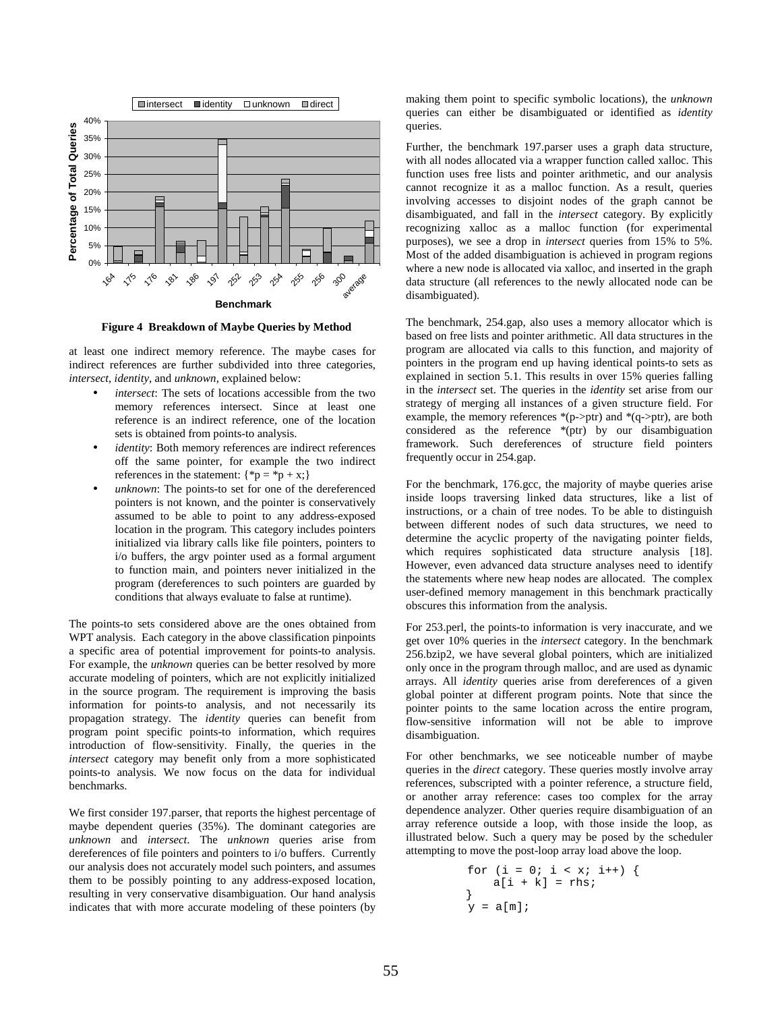

**Figure 4 Breakdown of Maybe Queries by Method** 

at least one indirect memory reference. The maybe cases for indirect references are further subdivided into three categories, *intersect*, *identity*, and *unknown*, explained below:

- intersect: The sets of locations accessible from the two memory references intersect. Since at least one reference is an indirect reference, one of the location sets is obtained from points-to analysis.
- identity: Both memory references are indirect references off the same pointer, for example the two indirect references in the statement: { ${}^{*}p = {}^{*}p + x$ ;}
- unknown: The points-to set for one of the dereferenced pointers is not known, and the pointer is conservatively assumed to be able to point to any address-exposed location in the program. This category includes pointers initialized via library calls like file pointers, pointers to i/o buffers, the argv pointer used as a formal argument to function main, and pointers never initialized in the program (dereferences to such pointers are guarded by conditions that always evaluate to false at runtime).

The points-to sets considered above are the ones obtained from WPT analysis. Each category in the above classification pinpoints a specific area of potential improvement for points-to analysis. For example, the *unknown* queries can be better resolved by more accurate modeling of pointers, which are not explicitly initialized in the source program. The requirement is improving the basis information for points-to analysis, and not necessarily its propagation strategy. The *identity* queries can benefit from program point specific points-to information, which requires introduction of flow-sensitivity. Finally, the queries in the *intersect* category may benefit only from a more sophisticated points-to analysis. We now focus on the data for individual benchmarks.

We first consider 197.parser, that reports the highest percentage of maybe dependent queries (35%). The dominant categories are *unknown* and *intersect*. The *unknown* queries arise from dereferences of file pointers and pointers to i/o buffers. Currently our analysis does not accurately model such pointers, and assumes them to be possibly pointing to any address-exposed location, resulting in very conservative disambiguation. Our hand analysis indicates that with more accurate modeling of these pointers (by

making them point to specific symbolic locations), the *unknown* queries can either be disambiguated or identified as *identity* queries.

Further, the benchmark 197.parser uses a graph data structure, with all nodes allocated via a wrapper function called xalloc. This function uses free lists and pointer arithmetic, and our analysis cannot recognize it as a malloc function. As a result, queries involving accesses to disjoint nodes of the graph cannot be disambiguated, and fall in the *intersect* category. By explicitly recognizing xalloc as a malloc function (for experimental purposes), we see a drop in *intersect* queries from 15% to 5%. Most of the added disambiguation is achieved in program regions where a new node is allocated via xalloc, and inserted in the graph data structure (all references to the newly allocated node can be disambiguated).

The benchmark, 254.gap, also uses a memory allocator which is based on free lists and pointer arithmetic. All data structures in the program are allocated via calls to this function, and majority of pointers in the program end up having identical points-to sets as explained in section 5.1. This results in over 15% queries falling in the *intersect* set. The queries in the *identity* set arise from our strategy of merging all instances of a given structure field. For example, the memory references  $*(p\rightarrow ptr)$  and  $*(q\rightarrow ptr)$ , are both considered as the reference \*(ptr) by our disambiguation framework. Such dereferences of structure field pointers frequently occur in 254.gap.

For the benchmark, 176.gcc, the majority of maybe queries arise inside loops traversing linked data structures, like a list of instructions, or a chain of tree nodes. To be able to distinguish between different nodes of such data structures, we need to determine the acyclic property of the navigating pointer fields, which requires sophisticated data structure analysis [18]. However, even advanced data structure analyses need to identify the statements where new heap nodes are allocated. The complex user-defined memory management in this benchmark practically obscures this information from the analysis.

For 253.perl, the points-to information is very inaccurate, and we get over 10% queries in the *intersect* category. In the benchmark 256.bzip2, we have several global pointers, which are initialized only once in the program through malloc, and are used as dynamic arrays. All *identity* queries arise from dereferences of a given global pointer at different program points. Note that since the pointer points to the same location across the entire program, flow-sensitive information will not be able to improve disambiguation.

For other benchmarks, we see noticeable number of maybe queries in the *direct* category. These queries mostly involve array references, subscripted with a pointer reference, a structure field, or another array reference: cases too complex for the array dependence analyzer. Other queries require disambiguation of an array reference outside a loop, with those inside the loop, as illustrated below. Such a query may be posed by the scheduler attempting to move the post-loop array load above the loop.

 for (i = 0; i < x; i++) { a[i + k] = rhs; } y = a[m];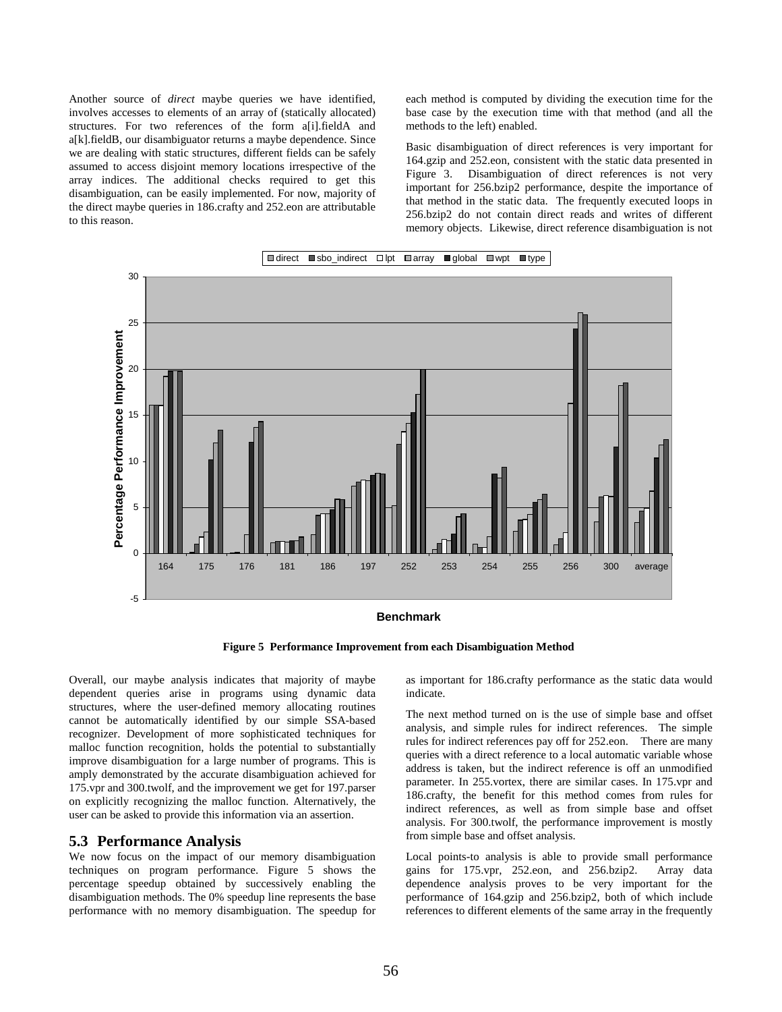Another source of *direct* maybe queries we have identified, involves accesses to elements of an array of (statically allocated) structures. For two references of the form a[i].fieldA and a[k].fieldB, our disambiguator returns a maybe dependence. Since we are dealing with static structures, different fields can be safely assumed to access disjoint memory locations irrespective of the array indices. The additional checks required to get this disambiguation, can be easily implemented. For now, majority of the direct maybe queries in 186.crafty and 252.eon are attributable to this reason.

each method is computed by dividing the execution time for the base case by the execution time with that method (and all the methods to the left) enabled.

Basic disambiguation of direct references is very important for 164.gzip and 252.eon, consistent with the static data presented in Figure 3. Disambiguation of direct references is not very important for 256.bzip2 performance, despite the importance of that method in the static data. The frequently executed loops in 256.bzip2 do not contain direct reads and writes of different memory objects. Likewise, direct reference disambiguation is not



**Figure 5 Performance Improvement from each Disambiguation Method** 

Overall, our maybe analysis indicates that majority of maybe dependent queries arise in programs using dynamic data structures, where the user-defined memory allocating routines cannot be automatically identified by our simple SSA-based recognizer. Development of more sophisticated techniques for malloc function recognition, holds the potential to substantially improve disambiguation for a large number of programs. This is amply demonstrated by the accurate disambiguation achieved for 175.vpr and 300.twolf, and the improvement we get for 197.parser on explicitly recognizing the malloc function. Alternatively, the user can be asked to provide this information via an assertion.

#### **5.3 Performance Analysis**

We now focus on the impact of our memory disambiguation techniques on program performance. Figure 5 shows the percentage speedup obtained by successively enabling the disambiguation methods. The 0% speedup line represents the base performance with no memory disambiguation. The speedup for

as important for 186.crafty performance as the static data would indicate.

The next method turned on is the use of simple base and offset analysis, and simple rules for indirect references. The simple rules for indirect references pay off for 252.eon. There are many queries with a direct reference to a local automatic variable whose address is taken, but the indirect reference is off an unmodified parameter. In 255.vortex, there are similar cases. In 175.vpr and 186.crafty, the benefit for this method comes from rules for indirect references, as well as from simple base and offset analysis. For 300.twolf, the performance improvement is mostly from simple base and offset analysis.

Local points-to analysis is able to provide small performance gains for 175.vpr, 252.eon, and 256.bzip2. Array data dependence analysis proves to be very important for the performance of 164.gzip and 256.bzip2, both of which include references to different elements of the same array in the frequently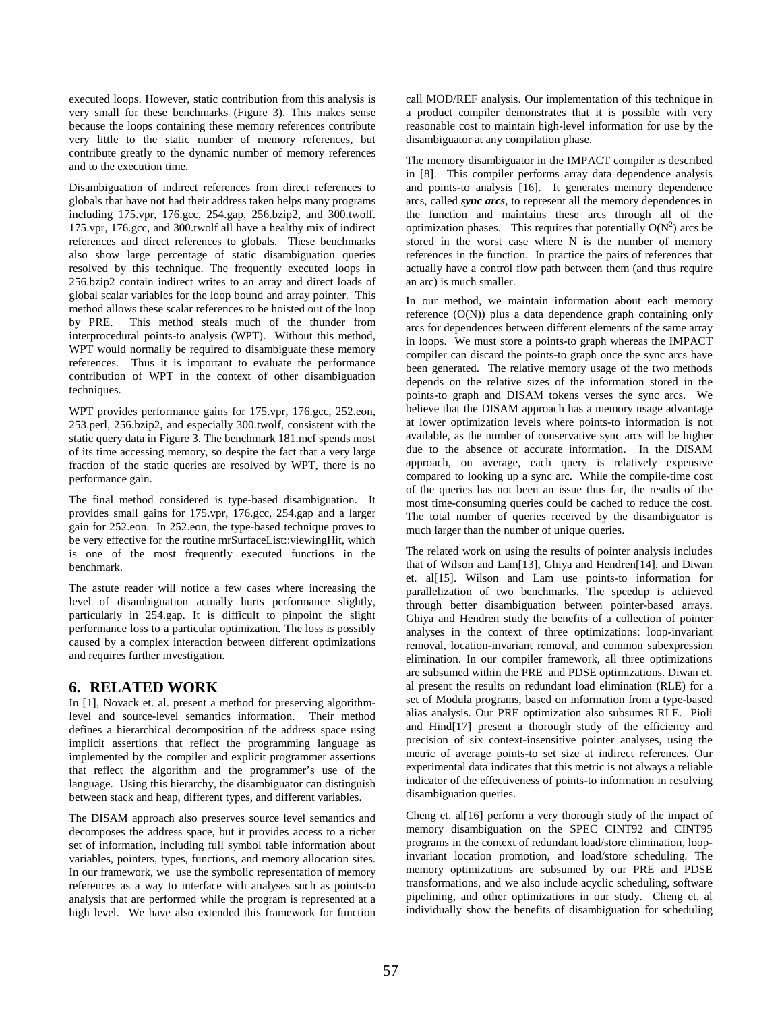executed loops. However, static contribution from this analysis is very small for these benchmarks (Figure 3). This makes sense because the loops containing these memory references contribute very little to the static number of memory references, but contribute greatly to the dynamic number of memory references and to the execution time.

Disambiguation of indirect references from direct references to globals that have not had their address taken helps many programs including 175.vpr, 176.gcc, 254.gap, 256.bzip2, and 300.twolf. 175.vpr, 176.gcc, and 300.twolf all have a healthy mix of indirect references and direct references to globals. These benchmarks also show large percentage of static disambiguation queries resolved by this technique. The frequently executed loops in 256.bzip2 contain indirect writes to an array and direct loads of global scalar variables for the loop bound and array pointer. This method allows these scalar references to be hoisted out of the loop by PRE. This method steals much of the thunder from interprocedural points-to analysis (WPT). Without this method, WPT would normally be required to disambiguate these memory references. Thus it is important to evaluate the performance contribution of WPT in the context of other disambiguation techniques.

WPT provides performance gains for 175.vpr, 176.gcc, 252.eon, 253.perl, 256.bzip2, and especially 300.twolf, consistent with the static query data in Figure 3. The benchmark 181.mcf spends most of its time accessing memory, so despite the fact that a very large fraction of the static queries are resolved by WPT, there is no performance gain.

The final method considered is type-based disambiguation. It provides small gains for 175.vpr, 176.gcc, 254.gap and a larger gain for 252.eon. In 252.eon, the type-based technique proves to be very effective for the routine mrSurfaceList::viewingHit, which is one of the most frequently executed functions in the benchmark.

The astute reader will notice a few cases where increasing the level of disambiguation actually hurts performance slightly, particularly in 254.gap. It is difficult to pinpoint the slight performance loss to a particular optimization. The loss is possibly caused by a complex interaction between different optimizations and requires further investigation.

### **6. RELATED WORK**

In [1], Novack et. al. present a method for preserving algorithmlevel and source-level semantics information. Their method defines a hierarchical decomposition of the address space using implicit assertions that reflect the programming language as implemented by the compiler and explicit programmer assertions that reflect the algorithm and the programmer's use of the language. Using this hierarchy, the disambiguator can distinguish between stack and heap, different types, and different variables.

The DISAM approach also preserves source level semantics and decomposes the address space, but it provides access to a richer set of information, including full symbol table information about variables, pointers, types, functions, and memory allocation sites. In our framework, we use the symbolic representation of memory references as a way to interface with analyses such as points-to analysis that are performed while the program is represented at a high level. We have also extended this framework for function call MOD/REF analysis. Our implementation of this technique in a product compiler demonstrates that it is possible with very reasonable cost to maintain high-level information for use by the disambiguator at any compilation phase.

The memory disambiguator in the IMPACT compiler is described in [8]. This compiler performs array data dependence analysis and points-to analysis [16]. It generates memory dependence arcs, called *sync arcs*, to represent all the memory dependences in the function and maintains these arcs through all of the optimization phases. This requires that potentially  $O(N^2)$  arcs be stored in the worst case where N is the number of memory references in the function. In practice the pairs of references that actually have a control flow path between them (and thus require an arc) is much smaller.

In our method, we maintain information about each memory reference (O(N)) plus a data dependence graph containing only arcs for dependences between different elements of the same array in loops. We must store a points-to graph whereas the IMPACT compiler can discard the points-to graph once the sync arcs have been generated. The relative memory usage of the two methods depends on the relative sizes of the information stored in the points-to graph and DISAM tokens verses the sync arcs. We believe that the DISAM approach has a memory usage advantage at lower optimization levels where points-to information is not available, as the number of conservative sync arcs will be higher due to the absence of accurate information. In the DISAM approach, on average, each query is relatively expensive compared to looking up a sync arc. While the compile-time cost of the queries has not been an issue thus far, the results of the most time-consuming queries could be cached to reduce the cost. The total number of queries received by the disambiguator is much larger than the number of unique queries.

The related work on using the results of pointer analysis includes that of Wilson and Lam[13], Ghiya and Hendren[14], and Diwan et. al[15]. Wilson and Lam use points-to information for parallelization of two benchmarks. The speedup is achieved through better disambiguation between pointer-based arrays. Ghiya and Hendren study the benefits of a collection of pointer analyses in the context of three optimizations: loop-invariant removal, location-invariant removal, and common subexpression elimination. In our compiler framework, all three optimizations are subsumed within the PRE and PDSE optimizations. Diwan et. al present the results on redundant load elimination (RLE) for a set of Modula programs, based on information from a type-based alias analysis. Our PRE optimization also subsumes RLE. Pioli and Hind[17] present a thorough study of the efficiency and precision of six context-insensitive pointer analyses, using the metric of average points-to set size at indirect references. Our experimental data indicates that this metric is not always a reliable indicator of the effectiveness of points-to information in resolving disambiguation queries.

Cheng et. al[16] perform a very thorough study of the impact of memory disambiguation on the SPEC CINT92 and CINT95 programs in the context of redundant load/store elimination, loopinvariant location promotion, and load/store scheduling. The memory optimizations are subsumed by our PRE and PDSE transformations, and we also include acyclic scheduling, software pipelining, and other optimizations in our study. Cheng et. al individually show the benefits of disambiguation for scheduling